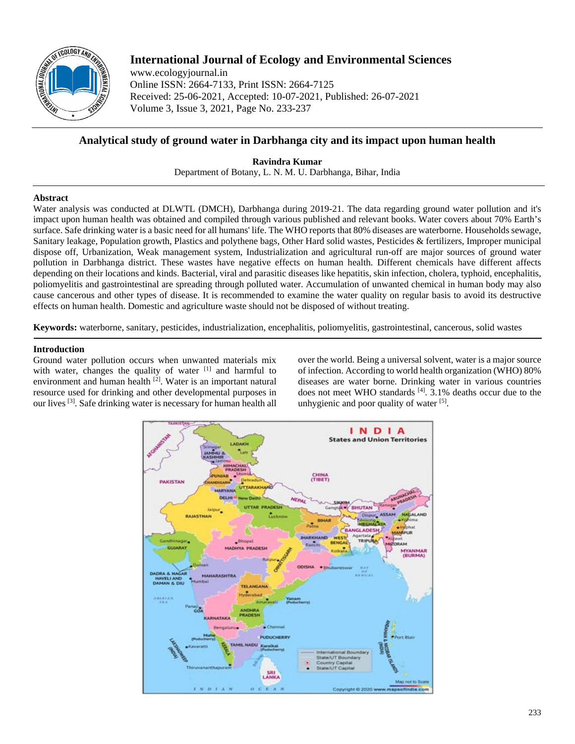

# **International Journal of Ecology and Environmental Sciences**

www.ecologyjournal.in Online ISSN: 2664-7133, Print ISSN: 2664-7125 Received: 25-06-2021, Accepted: 10-07-2021, Published: 26-07-2021 Volume 3, Issue 3, 2021, Page No. 233-237

# **Analytical study of ground water in Darbhanga city and its impact upon human health**

**Ravindra Kumar** Department of Botany, L. N. M. U. Darbhanga, Bihar, India

# **Abstract**

Water analysis was conducted at DLWTL (DMCH), Darbhanga during 2019-21. The data regarding ground water pollution and it's impact upon human health was obtained and compiled through various published and relevant books. Water covers about 70% Earth's surface. Safe drinking water is a basic need for all humans' life. The WHO reports that 80% diseases are waterborne. Households sewage, Sanitary leakage, Population growth, Plastics and polythene bags, Other Hard solid wastes, Pesticides & fertilizers, Improper municipal dispose off, Urbanization, Weak management system, Industrialization and agricultural run-off are major sources of ground water pollution in Darbhanga district. These wastes have negative effects on human health. Different chemicals have different affects depending on their locations and kinds. Bacterial, viral and parasitic diseases like hepatitis, skin infection, cholera, typhoid, encephalitis, poliomyelitis and gastrointestinal are spreading through polluted water. Accumulation of unwanted chemical in human body may also cause cancerous and other types of disease. It is recommended to examine the water quality on regular basis to avoid its destructive effects on human health. Domestic and agriculture waste should not be disposed of without treating.

**Keywords:** waterborne, sanitary, pesticides, industrialization, encephalitis, poliomyelitis, gastrointestinal, cancerous, solid wastes

# **Introduction**

Ground water pollution occurs when unwanted materials mix with water, changes the quality of water [1] and harmful to environment and human health <sup>[2]</sup>. Water is an important natural resource used for drinking and other developmental purposes in our lives [3]. Safe drinking water is necessary for human health all

over the world. Being a universal solvent, water is a major source of infection. According to world health organization (WHO) 80% diseases are water borne. Drinking water in various countries does not meet WHO standards <sup>[4]</sup>. 3.1% deaths occur due to the unhygienic and poor quality of water [5].

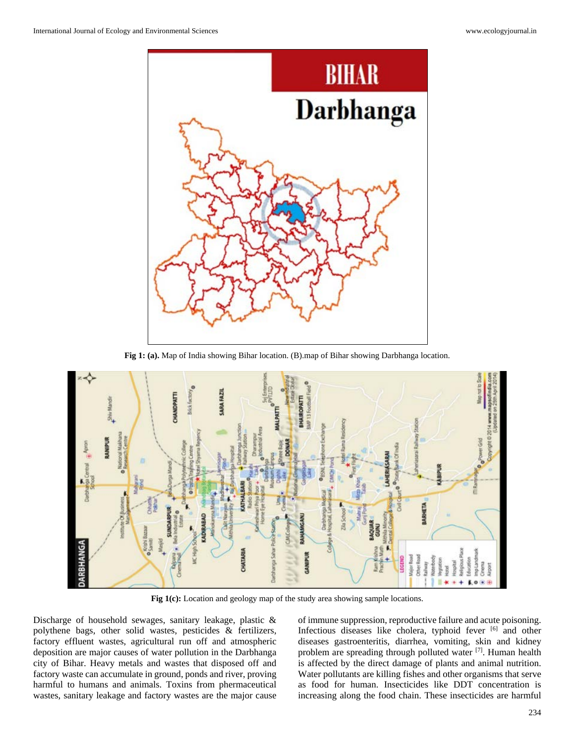

**Fig 1: (a).** Map of India showing Bihar location. (B).map of Bihar showing Darbhanga location.



Fig 1(c): Location and geology map of the study area showing sample locations.

Discharge of household sewages, sanitary leakage, plastic & polythene bags, other solid wastes, pesticides & fertilizers, factory effluent wastes, agricultural run off and atmospheric deposition are major causes of water pollution in the Darbhanga city of Bihar. Heavy metals and wastes that disposed off and factory waste can accumulate in ground, ponds and river, proving harmful to humans and animals. Toxins from phermaceutical wastes, sanitary leakage and factory wastes are the major cause

of immune suppression, reproductive failure and acute poisoning. Infectious diseases like cholera, typhoid fever [6] and other diseases gastroenteritis, diarrhea, vomiting, skin and kidney problem are spreading through polluted water [7]. Human health is affected by the direct damage of plants and animal nutrition. Water pollutants are killing fishes and other organisms that serve as food for human. Insecticides like DDT concentration is increasing along the food chain. These insecticides are harmful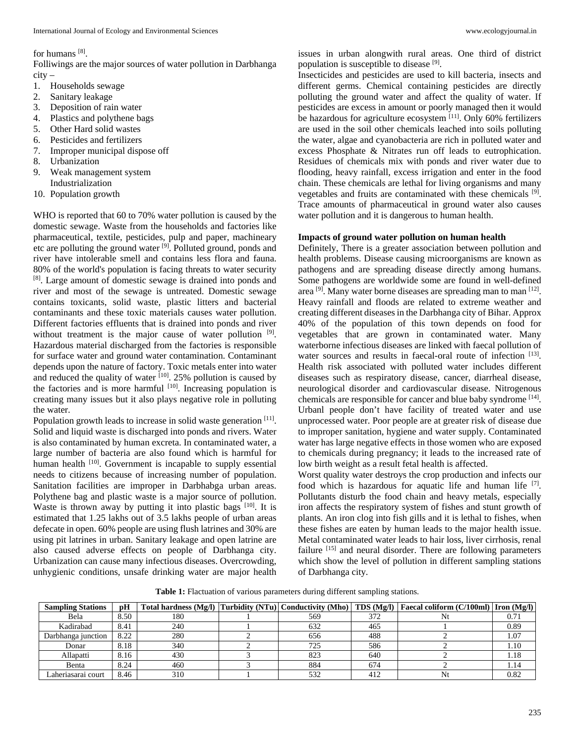#### for humans [8].

Folliwings are the major sources of water pollution in Darbhanga city –

- 1. Households sewage
- 2. Sanitary leakage
- 3. Deposition of rain water
- 4. Plastics and polythene bags
- 5. Other Hard solid wastes
- 6. Pesticides and fertilizers
- 7. Improper municipal dispose off
- 8. Urbanization
- 9. Weak management system
- Industrialization 10. Population growth

WHO is reported that 60 to 70% water pollution is caused by the domestic sewage. Waste from the households and factories like pharmaceutical, textile, pesticides, pulp and paper, machineary etc are polluting the ground water [9]. Polluted ground, ponds and river have intolerable smell and contains less flora and fauna. 80% of the world's population is facing threats to water security [8]. Large amount of domestic sewage is drained into ponds and river and most of the sewage is untreated. Domestic sewage contains toxicants, solid waste, plastic litters and bacterial contaminants and these toxic materials causes water pollution. Different factories effluents that is drained into ponds and river without treatment is the major cause of water pollution [9]. Hazardous material discharged from the factories is responsible for surface water and ground water contamination. Contaminant depends upon the nature of factory. Toxic metals enter into water and reduced the quality of water  $[10]$ . 25% pollution is caused by the factories and is more harmful  $[10]$ . Increasing population is creating many issues but it also plays negative role in polluting the water.

Population growth leads to increase in solid waste generation [11]. Solid and liquid waste is discharged into ponds and rivers. Water is also contaminated by human excreta. In contaminated water, a large number of bacteria are also found which is harmful for human health <sup>[10]</sup>. Government is incapable to supply essential needs to citizens because of increasing number of population. Sanitation facilities are improper in Darbhabga urban areas. Polythene bag and plastic waste is a major source of pollution. Waste is thrown away by putting it into plastic bags  $[10]$ . It is estimated that 1.25 lakhs out of 3.5 lakhs people of urban areas defecate in open. 60% people are using flush latrines and 30% are using pit latrines in urban. Sanitary leakage and open latrine are also caused adverse effects on people of Darbhanga city. Urbanization can cause many infectious diseases. Overcrowding, unhygienic conditions, unsafe drinking water are major health

issues in urban alongwith rural areas. One third of district population is susceptible to disease [9].

Insecticides and pesticides are used to kill bacteria, insects and different germs. Chemical containing pesticides are directly polluting the ground water and affect the quality of water. If pesticides are excess in amount or poorly managed then it would be hazardous for agriculture ecosystem  $[11]$ . Only 60% fertilizers are used in the soil other chemicals leached into soils polluting the water, algae and cyanobacteria are rich in polluted water and excess Phosphate & Nitrates run off leads to eutrophication. Residues of chemicals mix with ponds and river water due to flooding, heavy rainfall, excess irrigation and enter in the food chain. These chemicals are lethal for living organisms and many vegetables and fruits are contaminated with these chemicals [9]. Trace amounts of pharmaceutical in ground water also causes water pollution and it is dangerous to human health.

# **Impacts of ground water pollution on human health**

Definitely, There is a greater association between pollution and health problems. Disease causing microorganisms are known as pathogens and are spreading disease directly among humans. Some pathogens are worldwide some are found in well-defined area [9]. Many water borne diseases are spreading man to man [12]. Heavy rainfall and floods are related to extreme weather and creating different diseases in the Darbhanga city of Bihar. Approx 40% of the population of this town depends on food for vegetables that are grown in contaminated water. Many waterborne infectious diseases are linked with faecal pollution of water sources and results in faecal-oral route of infection [13]. Health risk associated with polluted water includes different diseases such as respiratory disease, cancer, diarrheal disease, neurological disorder and cardiovascular disease. Nitrogenous chemicals are responsible for cancer and blue baby syndrome [14]. Urbanl people don't have facility of treated water and use unprocessed water. Poor people are at greater risk of disease due to improper sanitation, hygiene and water supply. Contaminated water has large negative effects in those women who are exposed to chemicals during pregnancy; it leads to the increased rate of low birth weight as a result fetal health is affected.

Worst quality water destroys the crop production and infects our food which is hazardous for aquatic life and human life [7]. Pollutants disturb the food chain and heavy metals, especially iron affects the respiratory system of fishes and stunt growth of plants. An iron clog into fish gills and it is lethal to fishes, when these fishes are eaten by human leads to the major health issue. Metal contaminated water leads to hair loss, liver cirrhosis, renal failure [15] and neural disorder. There are following parameters which show the level of pollution in different sampling stations of Darbhanga city.

**Table 1:** Flactuation of various parameters during different sampling stations.

| <b>Sampling Stations</b> | рH   |     |     |     | Total hardness (Mg/l) $ Turbidity (NTu) $ Conductivity (Mho) $ TDS (Mg/)$ Faecal coliform (C/100ml) Iron (Mg/l) |        |
|--------------------------|------|-----|-----|-----|-----------------------------------------------------------------------------------------------------------------|--------|
| Bela                     | 8.50 | 180 | 569 | 372 |                                                                                                                 | V. / J |
| Kadirabad                | 8.41 | 240 | 632 | 465 |                                                                                                                 | 0.89   |
| Darbhanga junction       | 8.22 | 280 | 656 | 488 |                                                                                                                 | 1.07   |
| Donar                    | 8.18 | 340 | 725 | 586 |                                                                                                                 | 1.10   |
| Allapatti                | 8.16 | 430 | 823 | 640 |                                                                                                                 | 1.18   |
| Benta                    | 8.24 | 460 | 884 | 674 |                                                                                                                 |        |
| ∟aheriasarai court       | 8.46 | 310 | 532 | 412 |                                                                                                                 | 0.82   |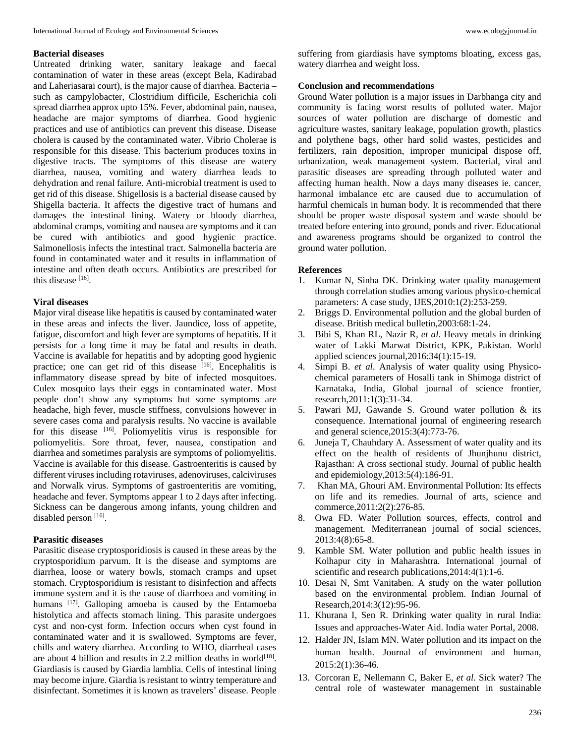#### **Bacterial diseases**

Untreated drinking water, sanitary leakage and faecal contamination of water in these areas (except Bela, Kadirabad and Laheriasarai court), is the major cause of diarrhea. Bacteria – such as campylobacter, Clostridium difficile, Escherichia coli spread diarrhea approx upto 15%. Fever, abdominal pain, nausea, headache are major symptoms of diarrhea. Good hygienic practices and use of antibiotics can prevent this disease. Disease cholera is caused by the contaminated water. Vibrio Cholerae is responsible for this disease. This bacterium produces toxins in digestive tracts. The symptoms of this disease are watery diarrhea, nausea, vomiting and watery diarrhea leads to dehydration and renal failure. Anti-microbial treatment is used to get rid of this disease. Shigellosis is a bacterial disease caused by Shigella bacteria. It affects the digestive tract of humans and damages the intestinal lining. Watery or bloody diarrhea, abdominal cramps, vomiting and nausea are symptoms and it can be cured with antibiotics and good hygienic practice. Salmonellosis infects the intestinal tract. Salmonella bacteria are found in contaminated water and it results in inflammation of intestine and often death occurs. Antibiotics are prescribed for this disease [16].

#### **Viral diseases**

Major viral disease like hepatitis is caused by contaminated water in these areas and infects the liver. Jaundice, loss of appetite, fatigue, discomfort and high fever are symptoms of hepatitis. If it persists for a long time it may be fatal and results in death. Vaccine is available for hepatitis and by adopting good hygienic practice; one can get rid of this disease [16]. Encephalitis is inflammatory disease spread by bite of infected mosquitoes. Culex mosquito lays their eggs in contaminated water. Most people don't show any symptoms but some symptoms are headache, high fever, muscle stiffness, convulsions however in severe cases coma and paralysis results. No vaccine is available for this disease [16]. Poliomyelitis virus is responsible for poliomyelitis. Sore throat, fever, nausea, constipation and diarrhea and sometimes paralysis are symptoms of poliomyelitis. Vaccine is available for this disease. Gastroenteritis is caused by different viruses including rotaviruses, adenoviruses, calciviruses and Norwalk virus. Symptoms of gastroenteritis are vomiting, headache and fever. Symptoms appear 1 to 2 days after infecting. Sickness can be dangerous among infants, young children and disabled person [16].

### **Parasitic diseases**

Parasitic disease cryptosporidiosis is caused in these areas by the cryptosporidium parvum. It is the disease and symptoms are diarrhea, loose or watery bowls, stomach cramps and upset stomach. Cryptosporidium is resistant to disinfection and affects immune system and it is the cause of diarrhoea and vomiting in humans [17]. Galloping amoeba is caused by the Entamoeba histolytica and affects stomach lining. This parasite undergoes cyst and non-cyst form. Infection occurs when cyst found in contaminated water and it is swallowed. Symptoms are fever, chills and watery diarrhea. According to WHO, diarrheal cases are about 4 billion and results in 2.2 million deaths in world<sup>[18]</sup>. Giardiasis is caused by Giardia lamblia. Cells of intestinal lining may become injure. Giardia is resistant to wintry temperature and disinfectant. Sometimes it is known as travelers' disease. People suffering from giardiasis have symptoms bloating, excess gas, watery diarrhea and weight loss.

#### **Conclusion and recommendations**

Ground Water pollution is a major issues in Darbhanga city and community is facing worst results of polluted water. Major sources of water pollution are discharge of domestic and agriculture wastes, sanitary leakage, population growth, plastics and polythene bags, other hard solid wastes, pesticides and fertilizers, rain deposition, improper municipal dispose off, urbanization, weak management system. Bacterial, viral and parasitic diseases are spreading through polluted water and affecting human health. Now a days many diseases ie. cancer, harmonal imbalance etc are caused due to accumulation of harmful chemicals in human body. It is recommended that there should be proper waste disposal system and waste should be treated before entering into ground, ponds and river. Educational and awareness programs should be organized to control the ground water pollution.

#### **References**

- 1. Kumar N, Sinha DK. Drinking water quality management through correlation studies among various physico-chemical parameters: A case study, IJES,2010:1(2):253-259.
- 2. Briggs D. Environmental pollution and the global burden of disease. British medical bulletin,2003:68:1-24.
- 3. Bibi S, Khan RL, Nazir R, *et al*. Heavy metals in drinking water of Lakki Marwat District, KPK, Pakistan. World applied sciences journal,2016:34(1):15-19.
- 4. Simpi B. *et al*. Analysis of water quality using Physicochemical parameters of Hosalli tank in Shimoga district of Karnataka, India, Global journal of science frontier, research,2011:1(3):31-34.
- 5. Pawari MJ, Gawande S. Ground water pollution & its consequence. International journal of engineering research and general science,2015:3(4):773-76.
- 6. Juneja T, Chauhdary A. Assessment of water quality and its effect on the health of residents of Jhunjhunu district, Rajasthan: A cross sectional study. Journal of public health and epidemiology,2013:5(4):186-91.
- 7. Khan MA, Ghouri AM. Environmental Pollution: Its effects on life and its remedies. Journal of arts, science and commerce,2011:2(2):276-85.
- 8. Owa FD. Water Pollution sources, effects, control and management. Mediterranean journal of social sciences, 2013:4(8):65-8.
- 9. Kamble SM. Water pollution and public health issues in Kolhapur city in Maharashtra. International journal of scientific and research publications,2014:4(1):1-6.
- 10. Desai N, Smt Vanitaben. A study on the water pollution based on the environmental problem. Indian Journal of Research,2014:3(12):95-96.
- 11. Khurana I, Sen R. Drinking water quality in rural India: Issues and approaches-Water Aid. India water Portal, 2008.
- 12. Halder JN, Islam MN. Water pollution and its impact on the human health. Journal of environment and human, 2015:2(1):36-46.
- 13. Corcoran E, Nellemann C, Baker E, *et al*. Sick water? The central role of wastewater management in sustainable